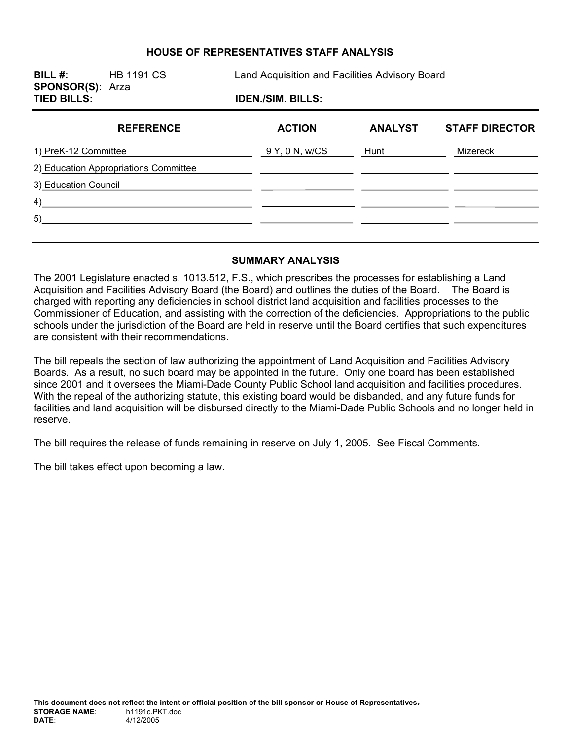### **HOUSE OF REPRESENTATIVES STAFF ANALYSIS**

| BILL #:<br><b>SPONSOR(S): Arza</b><br><b>TIED BILLS:</b> | <b>HB 1191 CS</b> | Land Acquisition and Facilities Advisory Board |                          |                |                       |
|----------------------------------------------------------|-------------------|------------------------------------------------|--------------------------|----------------|-----------------------|
|                                                          |                   |                                                | <b>IDEN./SIM. BILLS:</b> |                |                       |
|                                                          | <b>REFERENCE</b>  |                                                | <b>ACTION</b>            | <b>ANALYST</b> | <b>STAFF DIRECTOR</b> |
| 1) PreK-12 Committee                                     |                   |                                                | 9 Y, 0 N, w/CS           | Hunt           | Mizereck              |
| 2) Education Appropriations Committee                    |                   |                                                |                          |                |                       |
| 3) Education Council                                     |                   |                                                |                          |                |                       |
| 4)                                                       |                   |                                                |                          |                |                       |
| 5)                                                       |                   |                                                |                          |                |                       |
|                                                          |                   |                                                |                          |                |                       |

#### **SUMMARY ANALYSIS**

The 2001 Legislature enacted s. 1013.512, F.S., which prescribes the processes for establishing a Land Acquisition and Facilities Advisory Board (the Board) and outlines the duties of the Board. The Board is charged with reporting any deficiencies in school district land acquisition and facilities processes to the Commissioner of Education, and assisting with the correction of the deficiencies. Appropriations to the public schools under the jurisdiction of the Board are held in reserve until the Board certifies that such expenditures are consistent with their recommendations.

The bill repeals the section of law authorizing the appointment of Land Acquisition and Facilities Advisory Boards. As a result, no such board may be appointed in the future. Only one board has been established since 2001 and it oversees the Miami-Dade County Public School land acquisition and facilities procedures. With the repeal of the authorizing statute, this existing board would be disbanded, and any future funds for facilities and land acquisition will be disbursed directly to the Miami-Dade Public Schools and no longer held in reserve.

The bill requires the release of funds remaining in reserve on July 1, 2005. See Fiscal Comments.

The bill takes effect upon becoming a law.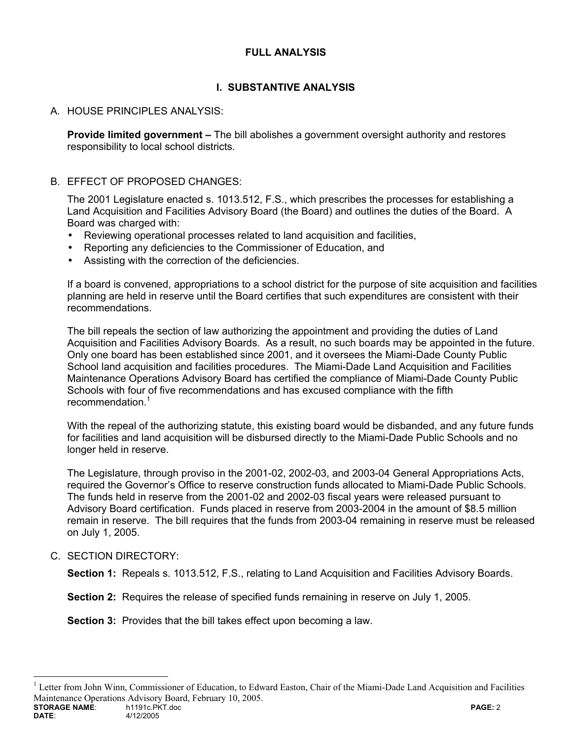## **FULL ANALYSIS**

# **I. SUBSTANTIVE ANALYSIS**

## A. HOUSE PRINCIPLES ANALYSIS:

**Provide limited government –** The bill abolishes a government oversight authority and restores responsibility to local school districts.

### B. EFFECT OF PROPOSED CHANGES:

The 2001 Legislature enacted s. 1013.512, F.S., which prescribes the processes for establishing a Land Acquisition and Facilities Advisory Board (the Board) and outlines the duties of the Board. A Board was charged with:

- Reviewing operational processes related to land acquisition and facilities,
- Reporting any deficiencies to the Commissioner of Education, and
- Assisting with the correction of the deficiencies.

If a board is convened, appropriations to a school district for the purpose of site acquisition and facilities planning are held in reserve until the Board certifies that such expenditures are consistent with their recommendations.

The bill repeals the section of law authorizing the appointment and providing the duties of Land Acquisition and Facilities Advisory Boards. As a result, no such boards may be appointed in the future. Only one board has been established since 2001, and it oversees the Miami-Dade County Public School land acquisition and facilities procedures. The Miami-Dade Land Acquisition and Facilities Maintenance Operations Advisory Board has certified the compliance of Miami-Dade County Public Schools with four of five recommendations and has excused compliance with the fifth recommendation.<sup>1</sup>

With the repeal of the authorizing statute, this existing board would be disbanded, and any future funds for facilities and land acquisition will be disbursed directly to the Miami-Dade Public Schools and no longer held in reserve.

The Legislature, through proviso in the 2001-02, 2002-03, and 2003-04 General Appropriations Acts, required the Governor's Office to reserve construction funds allocated to Miami-Dade Public Schools. The funds held in reserve from the 2001-02 and 2002-03 fiscal years were released pursuant to Advisory Board certification. Funds placed in reserve from 2003-2004 in the amount of \$8.5 million remain in reserve. The bill requires that the funds from 2003-04 remaining in reserve must be released on July 1, 2005.

### C. SECTION DIRECTORY:

**Section 1:** Repeals s. 1013.512, F.S., relating to Land Acquisition and Facilities Advisory Boards.

**Section 2:** Requires the release of specified funds remaining in reserve on July 1, 2005.

**Section 3:** Provides that the bill takes effect upon becoming a law.

<sup>1</sup> Letter from John Winn, Commissioner of Education, to Edward Easton, Chair of the Miami-Dade Land Acquisition and Facilities Maintenance Operations Advisory Board, February 10, 2005.<br>
STORAGE NAME: h1191c PKT doc

 $\overline{a}$